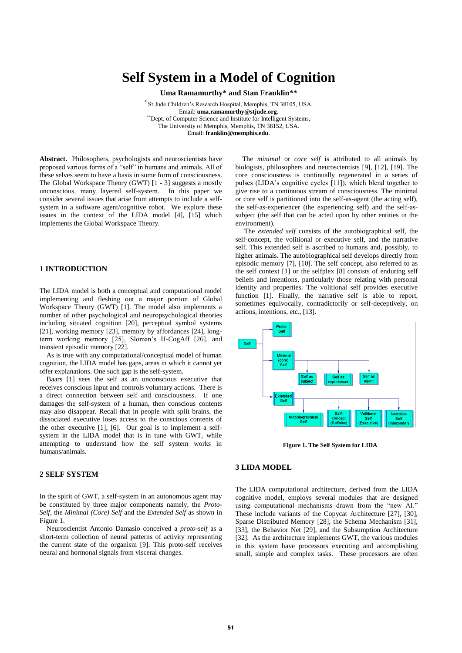# **Self System in a Model of Cognition**

**Uma Ramamurthy\* and Stan Franklin\*\***

\* St Jude Children's Research Hospital, Memphis, TN 38105, USA. Email: **uma.ramamurthy@stjude.org**. \*\*Dept. of Computer Science and Institute for Intelligent Systems, The University of Memphis, Memphis, TN 38152, USA. Email: **franklin@memphis.edu**.

**Abstract.** Philosophers, psychologists and neuroscientists have proposed various forms of a "self" in humans and animals. All of these selves seem to have a basis in some form of consciousness. The Global Workspace Theory (GWT) [1 - 3] suggests a mostly unconscious, many layered self-system. In this paper we consider several issues that arise from attempts to include a selfsystem in a software agent/cognitive robot. We explore these issues in the context of the LIDA model [4], [15] which implements the Global Workspace Theory.

# **1 INTRODUCTION**

The LIDA model is both a conceptual and computational model implementing and fleshing out a major portion of Global Workspace Theory (GWT) [1]. The model also implements a number of other psychological and neuropsychological theories including situated cognition [20], perceptual symbol systems [21], working memory [23], memory by affordances [24], longterm working memory [25], Sloman's H-CogAff [26], and transient episodic memory [22].

As is true with any computational/conceptual model of human cognition, the LIDA model has gaps, areas in which it cannot yet offer explanations. One such gap is the self-system.

Baars [1] sees the self as an unconscious executive that receives conscious input and controls voluntary actions. There is a direct connection between self and consciousness. If one damages the self-system of a human, then conscious contents may also disappear. Recall that in people with split brains, the dissociated executive loses access to the conscious contents of the other executive [1], [6]. Our goal is to implement a selfsystem in the LIDA model that is in tune with GWT, while attempting to understand how the self system works in humans/animals.

# **2 SELF SYSTEM**

In the spirit of GWT, a self-system in an autonomous agent may be constituted by three major components namely, the *Proto-Self*, the *Minimal (Core) Self* and the *Extended Self* as shown in Figure 1.

Neuroscientist Antonio Damasio conceived a *proto-self* as a short-term collection of neural patterns of activity representing the current state of the organism [9]. This proto-self receives neural and hormonal signals from visceral changes.

The *minimal* or *core self* is attributed to all animals by biologists, philosophers and neuroscientists [9], [12], [19]. The core consciousness is continually regenerated in a series of pulses (LIDA's cognitive cycles [11]), which blend together to give rise to a continuous stream of consciousness. The minimal or core self is partitioned into the self-as-agent (the acting self), the self-as-experiencer (the experiencing self) and the self-assubject (the self that can be acted upon by other entities in the environment).

 The *extended self* consists of the autobiographical self, the self-concept, the volitional or executive self, and the narrative self. This extended self is ascribed to humans and, possibly, to higher animals. The autobiographical self develops directly from episodic memory [7], [10]. The self concept, also referred to as the self context [1] or the selfplex [8] consists of enduring self beliefs and intentions, particularly those relating with personal identity and properties. The volitional self provides executive function [1]. Finally, the narrative self is able to report, sometimes equivocally, contradictorily or self-deceptively, on actions, intentions, etc., [13].



**Figure 1. The Self System for LIDA** 

#### **3 LIDA MODEL**

The LIDA computational architecture, derived from the LIDA cognitive model, employs several modules that are designed using computational mechanisms drawn from the "new AI." These include variants of the Copycat Architecture [27], [30], Sparse Distributed Memory [28], the Schema Mechanism [31], [33], the Behavior Net [29], and the Subsumption Architecture [32]. As the architecture implements GWT, the various modules in this system have processors executing and accomplishing small, simple and complex tasks. These processors are often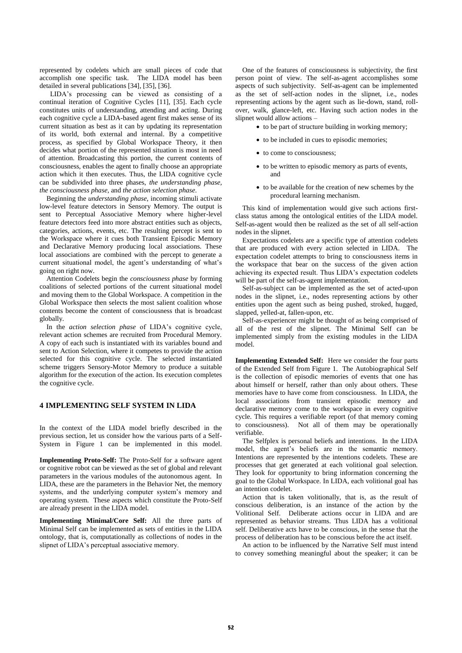represented by codelets which are small pieces of code that accomplish one specific task. The LIDA model has been detailed in several publications [34], [35], [36].

LIDA's processing can be viewed as consisting of a continual iteration of Cognitive Cycles [11], [35]. Each cycle constitutes units of understanding, attending and acting. During each cognitive cycle a LIDA-based agent first makes sense of its current situation as best as it can by updating its representation of its world, both external and internal. By a competitive process, as specified by Global Workspace Theory, it then decides what portion of the represented situation is most in need of attention. Broadcasting this portion, the current contents of consciousness, enables the agent to finally choose an appropriate action which it then executes. Thus, the LIDA cognitive cycle can be subdivided into three phases, *the understanding phase, the consciousness phase*, and *the action selection phase*.

Beginning the *understanding phase*, incoming stimuli activate low-level feature detectors in Sensory Memory. The output is sent to Perceptual Associative Memory where higher-level feature detectors feed into more abstract entities such as objects, categories, actions, events, etc. The resulting percept is sent to the Workspace where it cues both Transient Episodic Memory and Declarative Memory producing local associations. These local associations are combined with the percept to generate a current situational model, the agent's understanding of what's going on right now.

Attention Codelets begin the *consciousness phase* by forming coalitions of selected portions of the current situational model and moving them to the Global Workspace. A competition in the Global Workspace then selects the most salient coalition whose contents become the content of consciousness that is broadcast globally.

In the *action selection phase* of LIDA's cognitive cycle, relevant action schemes are recruited from Procedural Memory. A copy of each such is instantiated with its variables bound and sent to Action Selection, where it competes to provide the action selected for this cognitive cycle. The selected instantiated scheme triggers Sensory-Motor Memory to produce a suitable algorithm for the execution of the action. Its execution completes the cognitive cycle.

# **4 IMPLEMENTING SELF SYSTEM IN LIDA**

In the context of the LIDA model briefly described in the previous section, let us consider how the various parts of a Self-System in Figure 1 can be implemented in this model.

**Implementing Proto-Self:** The Proto-Self for a software agent or cognitive robot can be viewed as the set of global and relevant parameters in the various modules of the autonomous agent. In LIDA, these are the parameters in the Behavior Net, the memory systems, and the underlying computer system's memory and operating system. These aspects which constitute the Proto-Self are already present in the LIDA model.

**Implementing Minimal/Core Self:** All the three parts of Minimal Self can be implemented as sets of entities in the LIDA ontology, that is, computationally as collections of nodes in the slipnet of LIDA's perceptual associative memory.

One of the features of consciousness is subjectivity, the first person point of view. The self-as-agent accomplishes some aspects of such subjectivity. Self-as-agent can be implemented as the set of self-action nodes in the slipnet, i.e., nodes representing actions by the agent such as lie-down, stand, rollover, walk, glance-left, etc. Having such action nodes in the slipnet would allow actions –

- to be part of structure building in working memory;
- to be included in cues to episodic memories:
- to come to consciousness;
- to be written to episodic memory as parts of events, and
- to be available for the creation of new schemes by the procedural learning mechanism.

This kind of implementation would give such actions firstclass status among the ontological entities of the LIDA model. Self-as-agent would then be realized as the set of all self-action nodes in the slipnet.

Expectations codelets are a specific type of attention codelets that are produced with every action selected in LIDA. The expectation codelet attempts to bring to consciousness items in the workspace that bear on the success of the given action achieving its expected result. Thus LIDA's expectation codelets will be part of the self-as-agent implementation.

Self-as-subject can be implemented as the set of acted-upon nodes in the slipnet, i.e., nodes representing actions by other entities upon the agent such as being pushed, stroked, hugged, slapped, yelled-at, fallen-upon, etc.

Self-as-experiencer might be thought of as being comprised of all of the rest of the slipnet. The Minimal Self can be implemented simply from the existing modules in the LIDA model.

**Implementing Extended Self:** Here we consider the four parts of the Extended Self from Figure 1. The Autobiographical Self is the collection of episodic memories of events that one has about himself or herself, rather than only about others. These memories have to have come from consciousness. In LIDA, the local associations from transient episodic memory and declarative memory come to the workspace in every cognitive cycle. This requires a verifiable report (of that memory coming to consciousness). Not all of them may be operationally verifiable.

The Selfplex is personal beliefs and intentions. In the LIDA model, the agent's beliefs are in the semantic memory. Intentions are represented by the intentions codelets. These are processes that get generated at each volitional goal selection. They look for opportunity to bring information concerning the goal to the Global Workspace. In LIDA, each volitional goal has an intention codelet.

Action that is taken volitionally, that is, as the result of conscious deliberation, is an instance of the action by the Volitional Self. Deliberate actions occur in LIDA and are represented as behavior streams. Thus LIDA has a volitional self. Deliberative acts have to be conscious, in the sense that the process of deliberation has to be conscious before the act itself.

An action to be influenced by the Narrative Self must intend to convey something meaningful about the speaker; it can be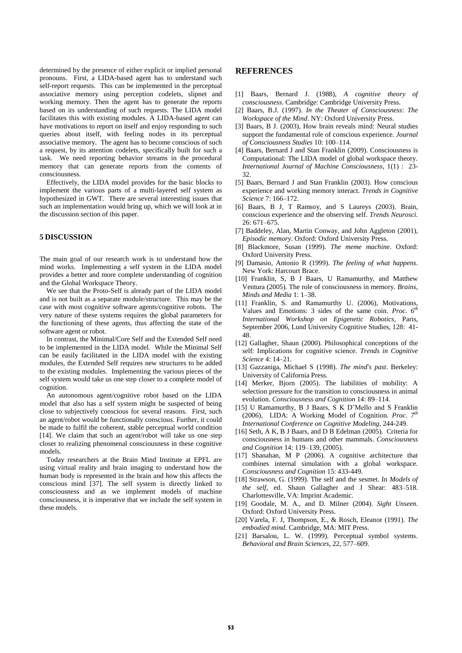determined by the presence of either explicit or implied personal pronouns. First, a LIDA-based agent has to understand such self-report requests. This can be implemented in the perceptual associative memory using perception codelets, slipnet and working memory. Then the agent has to generate the reports based on its understanding of such requests. The LIDA model facilitates this with existing modules. A LIDA-based agent can have motivations to report on itself and enjoy responding to such queries about itself, with feeling nodes in its perceptual associative memory. The agent has to become conscious of such a request, by its attention codelets, specifically built for such a task. We need reporting behavior streams in the procedural memory that can generate reports from the contents of consciousness.

Effectively, the LIDA model provides for the basic blocks to implement the various parts of a multi-layered self system as hypothesized in GWT. There are several interesting issues that such an implementation would bring up, which we will look at in the discussion section of this paper.

### **5 DISCUSSION**

The main goal of our research work is to understand how the mind works. Implementing a self system in the LIDA model provides a better and more complete understanding of cognition and the Global Workspace Theory.

We see that the Proto-Self is already part of the LIDA model and is not built as a separate module/structure. This may be the case with most cognitive software agents/cognitive robots. The very nature of these systems requires the global parameters for the functioning of these agents, thus affecting the state of the software agent or robot.

In contrast, the Minimal/Core Self and the Extended Self need to be implemented in the LIDA model. While the Minimal Self can be easily facilitated in the LIDA model with the existing modules, the Extended Self requires new structures to be added to the existing modules. Implementing the various pieces of the self system would take us one step closer to a complete model of cognition.

An autonomous agent/cognitive robot based on the LIDA model that also has a self system might be suspected of being close to subjectively conscious for several reasons. First, such an agent/robot would be functionally conscious. Further, it could be made to fulfil the coherent, stable perceptual world condition [14]. We claim that such an agent/robot will take us one step closer to realizing phenomenal consciousness in these cognitive models.

Today researchers at the Brain Mind Institute at EPFL are using virtual reality and brain imaging to understand how the human body is represented in the brain and how this affects the conscious mind [37]. The self system is directly linked to consciousness and as we implement models of machine consciousness, it is imperative that we include the self system in these models.

# **REFERENCES**

- [1] Baars, Bernard J. (1988), *A cognitive theory of consciousness*. Cambridge: Cambridge University Press.
- [2] Baars, B.J. (1997). *In the Theater of Consciousness*: *The Workspace of the Mind*. NY: Oxford University Press*.*
- [3] Baars, B J. (2003), How brain reveals mind: Neural studies support the fundamental role of conscious experience. *Journal of Consciousness Studies* 10: 100–114.
- [4] Baars, Bernard J and Stan Franklin (2009). Consciousness is Computational: The LIDA model of global workspace theory. *International Journal of Machine Consciousness*, 1(1) : 23- 32.
- [5] Baars, Bernard J and Stan Franklin (2003). How conscious experience and working memory interact. *Trends in Cognitive Science* 7: 166–172.
- [6] Baars, B J, T Ramsoy, and S Laureys (2003). Brain, conscious experience and the observing self. *Trends Neurosci.*  26: 671–675.
- [7] Baddeley, Alan, Martin Conway, and John Aggleton (2001), *Episodic memory*. Oxford: Oxford University Press.
- [8] Blackmore, Susan (1999). *The meme machine*. Oxford: Oxford University Press.
- [9] Damasio, Antonio R (1999). *The feeling of what happens*. New York: Harcourt Brace.
- [10] Franklin, S, B J Baars, U Ramamurthy, and Matthew Ventura (2005). The role of consciousness in memory. *Brains, Minds and Media* 1: 1–38.
- [11] Franklin, S. and Ramamurthy U. (2006), Motivations, Values and Emotions: 3 sides of the same coin. *Proc. 6 th International Workshop on Epigenetic Robotics*, Paris, September 2006, Lund University Cognitive Studies, 128: 41- 48.
- [12] Gallagher, Shaun (2000). Philosophical conceptions of the self: Implications for cognitive science. *Trends in Cognitive Science* 4: 14–21.
- [13] Gazzaniga, Michael S (1998). *The mind's past*. Berkeley: University of California Press.
- [14] Merker, Bjorn (2005). The liabilities of mobility: A selection pressure for the transition to consciousness in animal evolution. *Consciousness and Cognition* 14: 89–114.
- [15] U Ramamurthy, B J Baars, S K D'Mello and S Franklin (2006), LIDA: A Working Model of Cognition. *Proc. 7th International Conference on Cognitive Modeling,* 244-249.
- [16] Seth, A K, B J Baars, and D B Edelman (2005). Criteria for consciousness in humans and other mammals. *Consciousness and Cognition* 14: 119–139, (2005).
- [17] Shanahan, M P (2006). A cognitive architecture that combines internal simulation with a global workspace. *Consciousness and Cognition* 15: 433-449.
- [18] Strawson, G. (1999). The self and the sesmet. In *Models of the self*, ed. Shaun Gallagher and J Shear: 483–518. Charlottesville, VA: Imprint Academic.
- [19] Goodale, M. A., and D. Milner (2004). *Sight Unseen*. Oxford: Oxford University Press.
- [20] Varela, F. J, Thompson, E., & Rosch, Eleanor (1991). *The embodied mind*. Cambridge, MA: MIT Press.
- [21] Barsalou, L. W. (1999). Perceptual symbol systems. *Behavioral and Brain Sciences*, 22, 577–609.